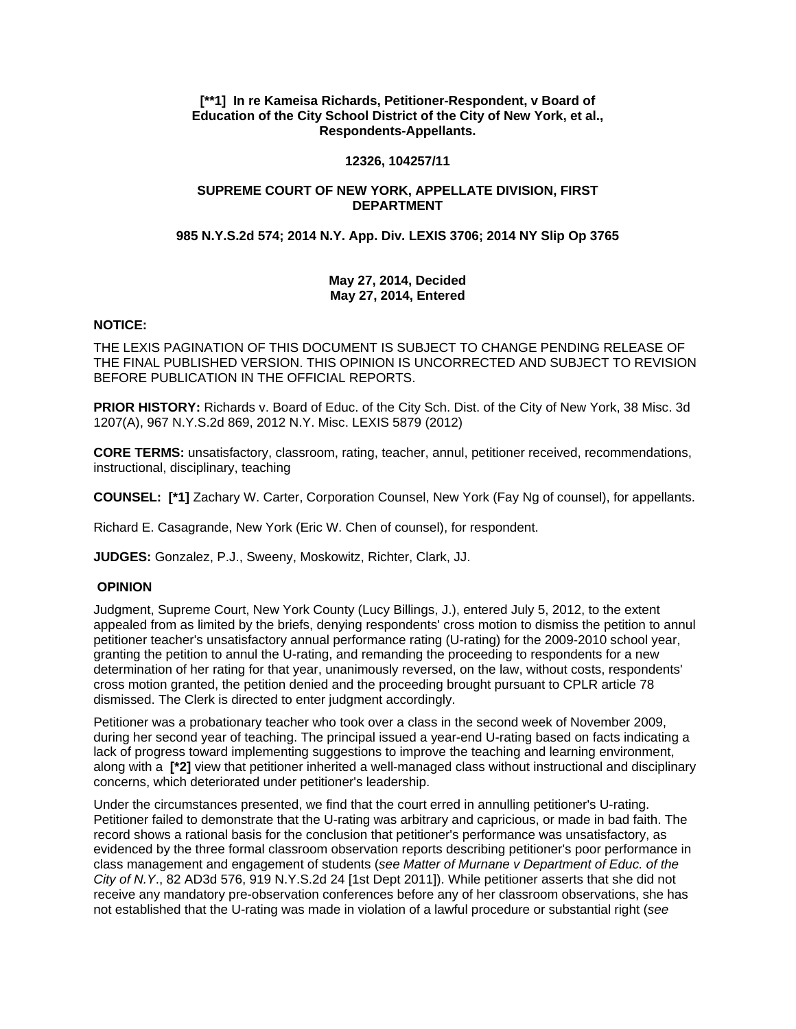# **[\*\*1] In re Kameisa Richards, Petitioner-Respondent, v Board of Education of the City School District of the City of New York, et al., Respondents-Appellants.**

## **12326, 104257/11**

# **SUPREME COURT OF NEW YORK, APPELLATE DIVISION, FIRST DEPARTMENT**

# **985 N.Y.S.2d 574; 2014 N.Y. App. Div. LEXIS 3706; 2014 NY Slip Op 3765**

# **May 27, 2014, Decided May 27, 2014, Entered**

# **NOTICE:**

THE LEXIS PAGINATION OF THIS DOCUMENT IS SUBJECT TO CHANGE PENDING RELEASE OF THE FINAL PUBLISHED VERSION. THIS OPINION IS UNCORRECTED AND SUBJECT TO REVISION BEFORE PUBLICATION IN THE OFFICIAL REPORTS.

**PRIOR HISTORY:** Richards v. Board of Educ. of the City Sch. Dist. of the City of New York, 38 Misc. 3d 1207(A), 967 N.Y.S.2d 869, 2012 N.Y. Misc. LEXIS 5879 (2012)

**CORE TERMS:** unsatisfactory, classroom, rating, teacher, annul, petitioner received, recommendations, instructional, disciplinary, teaching

**COUNSEL: [\*1]** Zachary W. Carter, Corporation Counsel, New York (Fay Ng of counsel), for appellants.

Richard E. Casagrande, New York (Eric W. Chen of counsel), for respondent.

**JUDGES:** Gonzalez, P.J., Sweeny, Moskowitz, Richter, Clark, JJ.

## **OPINION**

Judgment, Supreme Court, New York County (Lucy Billings, J.), entered July 5, 2012, to the extent appealed from as limited by the briefs, denying respondents' cross motion to dismiss the petition to annul petitioner teacher's unsatisfactory annual performance rating (U-rating) for the 2009-2010 school year, granting the petition to annul the U-rating, and remanding the proceeding to respondents for a new determination of her rating for that year, unanimously reversed, on the law, without costs, respondents' cross motion granted, the petition denied and the proceeding brought pursuant to CPLR article 78 dismissed. The Clerk is directed to enter judgment accordingly.

Petitioner was a probationary teacher who took over a class in the second week of November 2009, during her second year of teaching. The principal issued a year-end U-rating based on facts indicating a lack of progress toward implementing suggestions to improve the teaching and learning environment, along with a **[\*2]** view that petitioner inherited a well-managed class without instructional and disciplinary concerns, which deteriorated under petitioner's leadership.

Under the circumstances presented, we find that the court erred in annulling petitioner's U-rating. Petitioner failed to demonstrate that the U-rating was arbitrary and capricious, or made in bad faith. The record shows a rational basis for the conclusion that petitioner's performance was unsatisfactory, as evidenced by the three formal classroom observation reports describing petitioner's poor performance in class management and engagement of students (*see Matter of Murnane v Department of Educ. of the City of N.Y*., 82 AD3d 576, 919 N.Y.S.2d 24 [1st Dept 2011]). While petitioner asserts that she did not receive any mandatory pre-observation conferences before any of her classroom observations, she has not established that the U-rating was made in violation of a lawful procedure or substantial right (*see*